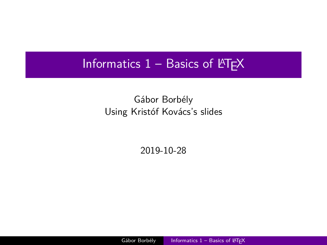#### <span id="page-0-0"></span>Informatics  $1 -$  Basics of  $\angle$ FTEX

#### Gábor Borbély Using Kristóf Kovács's slides

2019-10-28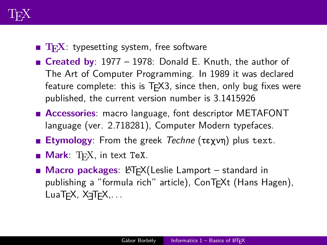

- **TEX:** typesetting system, free software
- **Created by**: 1977 1978: Donald E. Knuth, the author of The Art of Computer Programming. In 1989 it was declared feature complete: this is  $TrX3$ , since then, only bug fixes were published, the current version number is 3.1415926
- **Accessories**: macro language, font descriptor METAFONT language (ver. 2.718281), Computer Modern typefaces.
- **Etymology**: From the greek Techne (τεχνη) plus text.
- **Mark**: T<sub>F</sub>X, in text TeX.
- **Macro packages: LATEX**(Leslie Lamport standard in publishing a "formula rich" article), ConT<sub>F</sub>Xt (Hans Hagen),  $Lua$ T<sub>F</sub>X,  $X$ <sub>T</sub> $T$ <sub>F</sub>X,  $\ldots$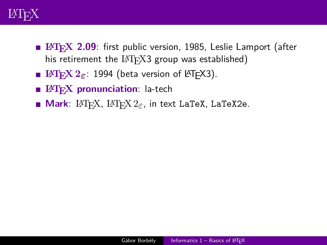

- **LATEX** 2.09: first public version, 1985, Leslie Lamport (after his retirement the  $IATFX3$  group was established)
- **LATEX**  $2\varepsilon$ : 1994 (beta version of LATEX3).
- **EHEX** pronunciation: la-tech
- **Mark**: LAT<sub>E</sub>X, LAT<sub>E</sub>X  $2<sub>\epsilon</sub>$ , in text LaTeX, LaTeX2e.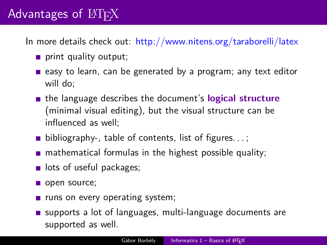# Advantages of  $BTRX$

In more details check out: <http://www.nitens.org/taraborelli/latex>

- print quality output;
- easy to learn, can be generated by a program; any text editor will do;
- the language describes the document's **logical structure** (minimal visual editing), but the visual structure can be influenced as well;
- **bibliography-, table of contents, list of figures.**  $\ldots$ ;
- $\blacksquare$  mathematical formulas in the highest possible quality;
- **If** lots of useful packages;
- open source;
- $\blacksquare$  runs on every operating system;
- supports a lot of languages, multi-language documents are supported as well.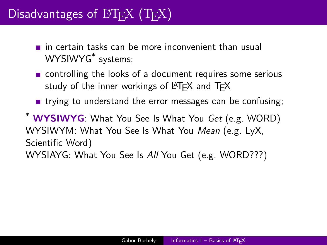# Disadvantages of  $\text{LTr}X$  (T<sub>EX</sub>)

- $\blacksquare$  in certain tasks can be more inconvenient than usual WYSIWYG\* systems;
- **n** controlling the looks of a document requires some serious study of the inner workings of  $\angle A$ T<sub>F</sub>X and T<sub>F</sub>X
- **trying to understand the error messages can be confusing;**

\* **WYSIWYG**: What You See Is What You Get (e.g. WORD) WYSIWYM: What You See Is What You Mean (e.g. LyX, Scientific Word) WYSIAYG: What You See Is All You Get (e.g. WORD???)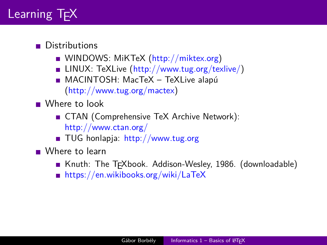

#### **Distributions**

- WINDOWS: MiKTeX [\(http://miktex.org\)](http://miktex.org)
- LINUX: TeXLive  $(http://www.tug.org/texlive/)$
- MACINTOSH: MacTeX TeXLive alapú [\(http://www.tug.org/mactex\)](http://www.tug.org/mactex)

Where to look

- CTAN (Comprehensive TeX Archive Network): <http://www.ctan.org/>
- TUG honlapja: <http://www.tug.org>

■ Where to learn

- Knuth: The TEXbook. Addison-Wesley, 1986. (downloadable)
- <https://en.wikibooks.org/wiki/LaTeX>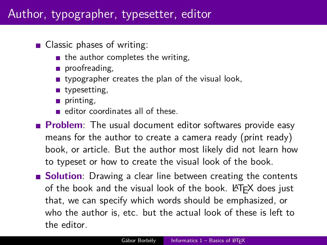### Author, typographer, typesetter, editor

- Classic phases of writing:
	- $\blacksquare$  the author completes the writing,
	- proofreading.
	- **u** typographer creates the plan of the visual look,
	- ullet typesetting,
	- printing,
	- editor coordinates all of these.
- **Problem**: The usual document editor softwares provide easy means for the author to create a camera ready (print ready) book, or article. But the author most likely did not learn how to typeset or how to create the visual look of the book.
- **Solution**: Drawing a clear line between creating the contents of the book and the visual look of the book.  $\bigoplus F \in X$  does just that, we can specify which words should be emphasized, or who the author is, etc. but the actual look of these is left to the editor.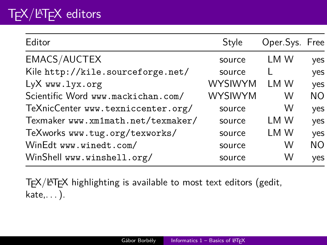# T<sub>F</sub>X/LAT<sub>F</sub>X editors

| Editor                             | Style          | Oper.Sys. Free |           |
|------------------------------------|----------------|----------------|-----------|
| EMACS/AUCTEX                       | source         | LM W           | yes       |
| Kile http://kile.sourceforge.net/  | source         |                | yes       |
| LyX www.lyx.org                    | <b>WYSIWYM</b> | LM W           | yes       |
| Scientific Word www.mackichan.com/ | <b>WYSIWYM</b> | W              | <b>NO</b> |
| TeXnicCenter www.texniccenter.org/ | source         | W              | yes       |
| Texmaker www.xm1math.net/texmaker/ | source         | LM W           | yes       |
| TeXworks www.tug.org/texworks/     | source         | LM W           | yes       |
| WinEdt www.winedt.com/             | source         | W              | <b>NO</b> |
| WinShell www.winshell.org/         | source         | W              | yes       |

TEX/LATEX highlighting is available to most text editors (gedit, kate,. . . ).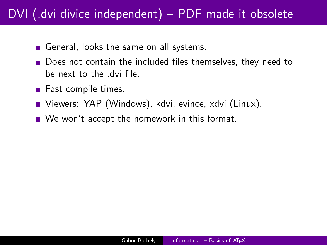## DVI (.dvi divice independent) – PDF made it obsolete

- General, looks the same on all systems.
- Does not contain the included files themselves, they need to be next to the .dvi file.
- $\blacksquare$  Fast compile times.
- Viewers: YAP (Windows), kdvi, evince, xdvi (Linux).
- We won't accept the homework in this format.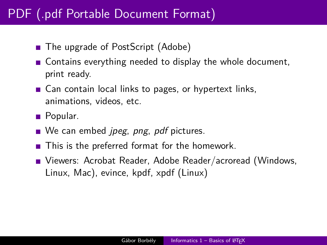## PDF (.pdf Portable Document Format)

- The upgrade of PostScript (Adobe)
- Contains everything needed to display the whole document, print ready.
- Can contain local links to pages, or hypertext links, animations, videos, etc.
- **Popular.**
- $\blacksquare$  We can embed *ipeg, png, pdf* pictures.
- **This is the preferred format for the homework.**
- Viewers: Acrobat Reader, Adobe Reader/acroread (Windows, Linux, Mac), evince, kpdf, xpdf (Linux)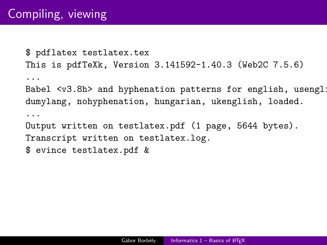\$ pdflatex testlatex.tex This is pdfTeXk, Version 3.141592-1.40.3 (Web2C 7.5.6) ... Babel  $\langle v3.8h \rangle$  and hyphenation patterns for english, usenglish dumylang, nohyphenation, hungarian, ukenglish, loaded. ... Output written on testlatex.pdf (1 page, 5644 bytes). Transcript written on testlatex.log. \$ evince testlatex.pdf &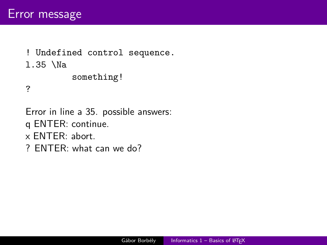```
! Undefined control sequence.
l.35 \Na
         something!
?
```
Error in line a 35. possible answers: q ENTER: continue. x ENTER: abort. ? ENTER: what can we do?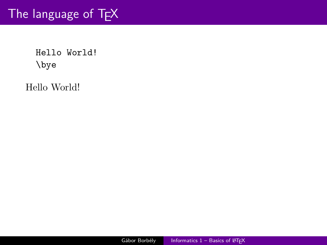## The language of TEX

Hello World! \bye

Hello World!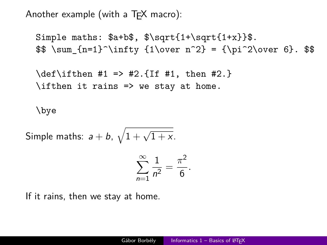Another example (with a  $Tr X$  macro):

Simple maths:  $\alpha + b$ ,  $\sqrt{1+\sqrt{1+\sqrt{1+x}}}$ .  $\sum_{n=1}^{\infty} {1\over n^2} = {\pi^2\over 6}.$ 

\def\ifthen #1 => #2.{If #1, then #2.}  $\left\{ \right\}$  if then it rains => we stay at home.

\bye

Simple marks: 
$$
a + b
$$
,  $\sqrt{1 + \sqrt{1 + x}}$ .

$$
\sum_{n=1}^{\infty} \frac{1}{n^2} = \frac{\pi^2}{6}.
$$

If it rains, then we stay at home.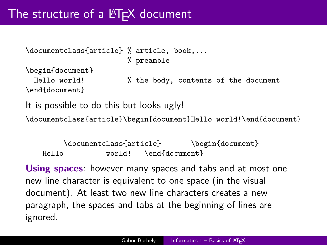```
\documentclass{article} % article, book,...
                       % preamble
\begin{document}
 Hello world! % the body, contents of the document
\end{document}
It is possible to do this but looks ugly!
```
\documentclass{article}\begin{document}Hello world!\end{document}

\documentclass{article} \begin{document} Hello **world!** \end{document}

**Using spaces**: however many spaces and tabs and at most one new line character is equivalent to one space (in the visual document). At least two new line characters creates a new paragraph, the spaces and tabs at the beginning of lines are ignored.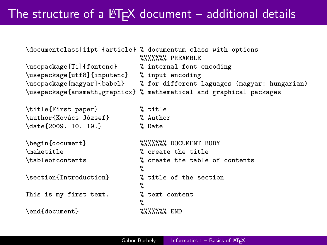## The structure of a  $\text{FT}$  document – additional details

| \usepackage[T1]{fontenc} % internal font encoding<br>\usepackage[utf8]{inputenc} % input encoding | \documentclass[11pt]{article} % documentum class with options<br><b>%%%%%%</b> PREAMBLE<br>\usepackage[magyar]{babel} % for different laguages (magyar: hungarian)<br>\usepackage{amsmath,graphicx} % mathematical and graphical packages |
|---------------------------------------------------------------------------------------------------|-------------------------------------------------------------------------------------------------------------------------------------------------------------------------------------------------------------------------------------------|
| \title{First paper}<br>\author{Kovács József}<br>\date{2009. 10. 19.}                             | % title<br>% Author<br>% Date                                                                                                                                                                                                             |
| \begin{document}<br>\maketitle<br>\tableofcontents                                                | <b>XXXXXXX DOCUMENT BODY</b><br>% create the title<br>% create the table of contents<br>℀                                                                                                                                                 |
| \section{Introduction}                                                                            | % title of the section<br>%                                                                                                                                                                                                               |
| This is my first text.                                                                            | % text content<br>%                                                                                                                                                                                                                       |
| \end{document}                                                                                    | $\frac{22222222}{2}$                                                                                                                                                                                                                      |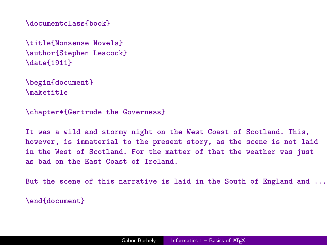**\documentclass{book}**

**\title{Nonsense Novels} \author{Stephen Leacock} \date{1911}**

**\begin{document} \maketitle**

**\chapter\*{Gertrude the Governess}**

**It was a wild and stormy night on the West Coast of Scotland. This, however, is immaterial to the present story, as the scene is not laid in the West of Scotland. For the matter of that the weather was just as bad on the East Coast of Ireland.**

**But the scene of this narrative is laid in the South of England and ...**

**\end{document}**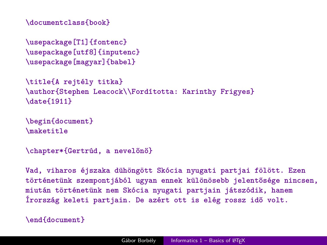**\documentclass{book}**

**\usepackage[T1]{fontenc} \usepackage[utf8]{inputenc} \usepackage[magyar]{babel}**

```
\title{A rejtély titka}
\author{Stephen Leacock\\Fordította: Karinthy Frigyes}
\date{1911}
```

```
\begin{document}
\maketitle
```
**\chapter\*{Gertrúd, a nevelőnő}**

**Vad, viharos éjszaka dühöngött Skócia nyugati partjai fölött. Ezen történetünk szempontjából ugyan ennek különösebb jelentősége nincsen, miután történetünk nem Skócia nyugati partjain játszódik, hanem Írország keleti partjain. De azért ott is elég rossz idő volt.**

```
\end{document}
```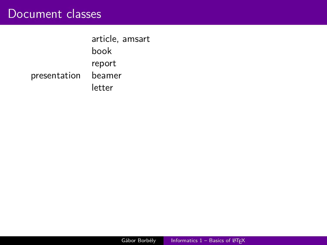#### Document classes

article, amsart book report presentation beamer letter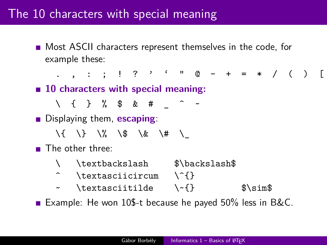### The 10 characters with special meaning

**Most ASCII characters represent themselves in the code, for** example these:

. , : ; ! ? ' ' " @ - + = \* / ( ) [ ] **10 characters with special meaning:**  $\setminus$  { } % \$ & #  $\hat{ }$ **Displaying them, escaping:**  $\backslash$  {  $\backslash$  }  $\backslash$   $\%$   $\backslash$  \$  $\backslash$  &  $\backslash$  #  $\backslash$ **The other three:** \ \textbackslash \$\backslash\$  $\text{textasciicircum} \{\{}$  $\sim$  \textasciitilde \ $\sim$ {} \$\sim\$

Example: He won 10\$-t because he payed  $50\%$  less in B&C.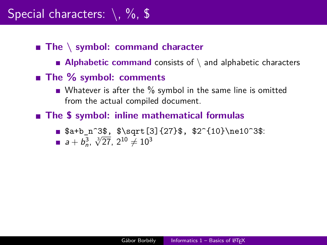#### ■ The \ symbol: command character

- **Alphabetic command** consists of  $\setminus$  and alphabetic characters
- The % symbol: comments
	- Whatever is after the  $\%$  symbol in the same line is omitted from the actual compiled document.
- **The \$ symbol: inline mathematical formulas**
	- $\blacksquare$  \$a+b\_n^3\$, \$\sqrt[3]{27}\$, \$2^{10}\ne10^3\$:
	- $a + b_n^3$ ,  $\sqrt[3]{27}$ ,  $2^{10} \neq 10^3$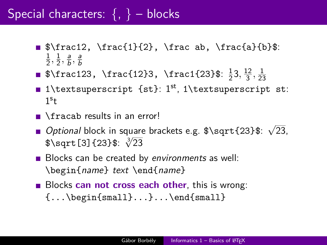# Special characters:  $\{ , \}$  – blocks

- $\blacksquare$  \$\frac12, \frac{1}{2}, \frac ab, \frac{a}{b}\$: 1  $\frac{1}{2}, \frac{1}{2}$  $\frac{1}{2}, \frac{a}{b}$  $\frac{a}{b}$ ,  $\frac{a}{b}$ b
- $\frac{123}{\frac{23}{\$ :  $\frac{1}{2}}$  $\frac{1}{2}3, \frac{12}{3}$  $\frac{12}{3}, \frac{1}{23}$ 23
- 1\textsuperscript {st}: 1<sup>st</sup>, 1\textsuperscript st:  $1<sup>s</sup>t$
- $\blacksquare$  \fracab results in an error!
- Optional block in square brackets e.g. \$\sqrt{23}\$: √ 23,  $Option$ ar biock in square<br> $\sqrt[3]{23}$ \$:  $\sqrt[3]{23}$
- Blocks can be created by environments as well: \begin{name} text \end{name}
- **Blocks can not cross each other**, this is wrong:  $\{ \ldots \begin{bmatrix} \text{small} \} \ldots \end{bmatrix}$ ... $\end{bmatrix}$  and  $\{ \text{small} \}$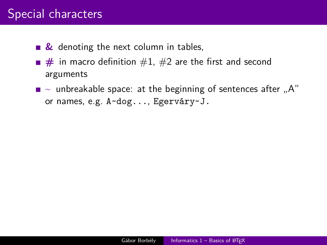### Special characters

- **&** denoting the next column in tables,
- $\blacksquare$  # in macro definition  $\#1$ ,  $\#2$  are the first and second arguments
- $\blacksquare$   $\sim$  unbreakable space: at the beginning of sentences after  $\blacksquare$ A" or names, e.g. A~dog..., Egerváry~J.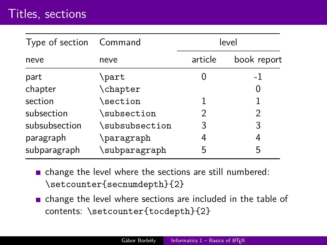### Titles, sections

| Type of section Command |                     |         | level          |
|-------------------------|---------------------|---------|----------------|
| neve                    | neve                | article | book report    |
| part                    | \part               |         | $-1$           |
| chapter                 | \chapter            |         |                |
| section                 | $\setminus$ section |         |                |
| subsection              | \subsection         | 2       | $\mathfrak{D}$ |
| subsubsection           | \subsubsection      | 3       | 3              |
| paragraph               | \paragraph          | 4       | 4              |
| subparagraph            | \subparagraph       | 5       | 5              |

- change the level where the sections are still numbered: \setcounter{secnumdepth}{2}
- change the level where sections are included in the table of contents: \setcounter{tocdepth}{2}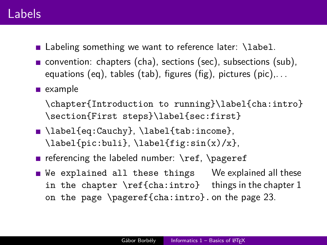#### Labels

- Labeling something we want to reference later: \label.
- convention: chapters (cha), sections (sec), subsections (sub), equations (eq), tables (tab), figures (fig), pictures (pic),. . .
- $\blacksquare$  example

\chapter{Introduction to running}\label{cha:intro} \section{First steps}\label{sec:first}

- \label{eq:Cauchy}, \label{tab:income},  $\label{eq:labelf}$   $\label{eq:labelf}$
- referencing the labeled number:  $\ref$ ,  $\text{pageref}$
- We explained all these things in the chapter \ref{cha:intro} things in the chapter 1 on the page \pageref{cha:intro}. on the page 23. We explained all these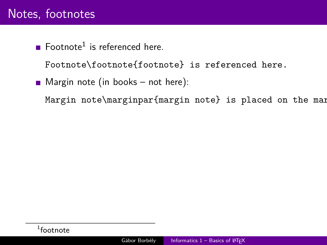## Notes, footnotes

Footnote<sup>1</sup> is referenced here.

Footnote\footnote{footnote} is referenced here.

 $\blacksquare$  Margin note (in books – not here):

Margin note\marginpar{margin note} is placed on the margin.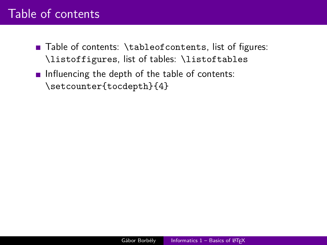## Table of contents

- Table of contents: \tableofcontents, list of figures: \listoffigures, list of tables: \listoftables
- Influencing the depth of the table of contents: \setcounter{tocdepth}{4}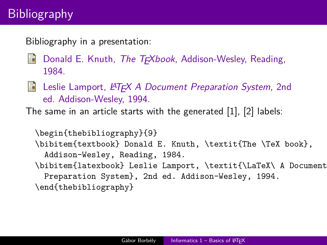# **Bibliography**

Bibliography in a presentation:

- F Donald E. Knuth, The T<sub>F</sub>Xbook, Addison-Wesley, Reading, 1984.
- F. Leslie Lamport, LATEX A Document Preparation System, 2nd ed. Addison-Wesley, 1994.

The same in an article starts with the generated [1], [2] labels:

```
\begin{thebibliography}{9}
\bibitem{textbook} Donald E. Knuth, \textit{The \TeX book},
 Addison-Wesley, Reading, 1984.
\bibitem{latexbook} Leslie Lamport, \textit{\LaTeX\ A Document
 Preparation System}, 2nd ed. Addison-Wesley, 1994.
\end{thebibliography}
```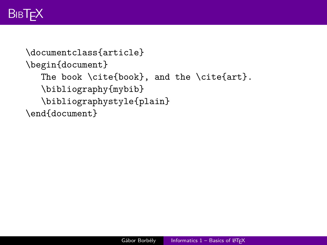# **BIBT<sub>F</sub>X**

```
\documentclass{article}
\begin{document}
  The book \cite{book}, and the \cite{art}.
  \bibliography{mybib}
  \bibliographystyle{plain}
\end{document}
```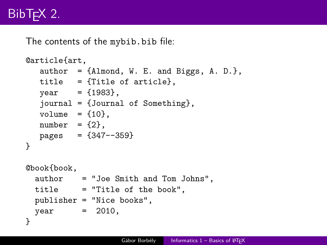# BibT<sub>F</sub>X 2.

The contents of the mybib.bib file:

```
@article{art,
   author = \{\text{Almond}, W. E. \text{and Biggs}, A. D. \},title = {Title of article},
   year = {1983}.journal = {Journal of Something},
  volume = \{10\}.
  number = {2}.
  pages = {347--359}}
@book{book,
  author = "Joe Smith and Tom Johns",
  title = "Title of the book",
  publisher = "Nice books",
 year = 2010,}
```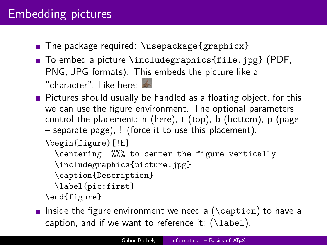## Embedding pictures

- The package required:  $\Box$  The package  $\{graphicx\}$
- $\blacksquare$  To embed a picture \includegraphics{file.jpg} (PDF, PNG, JPG formats). This embeds the picture like a

"character". Like here:

**Pictures should usually be handled as a floating object, for this** we can use the figure environment. The optional parameters control the placement: h (here), t (top), b (bottom), p (page – separate page), ! (force it to use this placement).

\begin{figure}[!h]

\centering %%% to center the figure vertically

\includegraphics{picture.jpg}

\caption{Description}

\label{pic:first}

\end{figure}

**Iomoral Inside the figure environment we need a (** $\cap$  **Caption**) to have a caption, and if we want to reference it:  $(\lambda_{\text{label}})$ .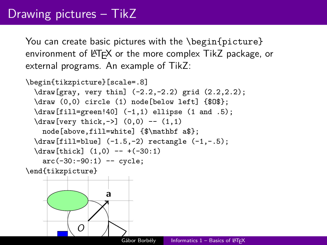## Drawing pictures – TikZ

You can create basic pictures with the \begin{picture} environment of LAT<sub>EX</sub> or the more complex TikZ package, or external programs. An example of TikZ:

```
\begin{tikzpicture}[scale=.8]
 \draw[gray, very thin] (-2.2, -2.2) grid (2.2, 2.2);
 \draw (0,0) circle (1) node[below left] {$O$};
 \draw[fill=green!40] (-1,1) ellipse (1 and .5);
 \d{raw[very thick, ->]} (0,0) -- (1,1)node[above,fill=white] {$\mathbf a$};
 \draw[fill=blue] (-1.5,-2) rectangle (-1,-.5);
 \d{raw[thick] (1,0) -- +(-30:1)}arc(-30:-90:1) -- cycle;
```
\end{tikzpicture}

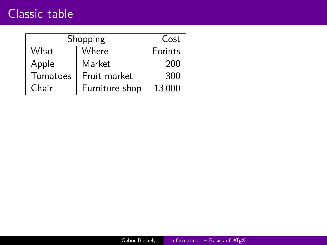### Classic table

| Shopping |                | Cost  |
|----------|----------------|-------|
| What     | Where          |       |
| Apple    | Market         | 200   |
| Tomatoes | Fruit market   | 300   |
| Chair    | Furniture shop | 13000 |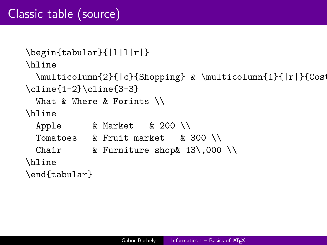```
\begin{tabular}{|l|l|r|}
\hline
 \multicolumn{2}{|c}{Shopping} & \multicolumn{1}{|r|}{Cost
\cline{1-2}\cline{3-3}
 What & Where & Forints \\
\hline
 Apple & Market & 200 \\
 Tomatoes & Fruit market & 300 \\
 Chair & Furniture shop & 13\,000 \\
\hline
```
\end{tabular}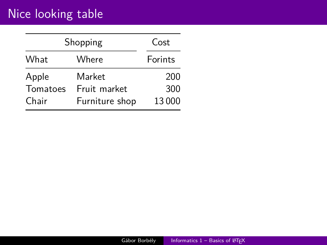# Nice looking table

|          | Shopping       | Cost    |
|----------|----------------|---------|
| What     | Where          | Forints |
| Apple    | Market         | 200     |
| Tomatoes | Fruit market   | 300     |
| Chair    | Furniture shop | 13000   |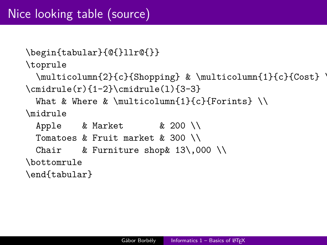```
\begin{tabular}{@{}llr@{}}
\toprule
  \multicolumn{2}{c}{Shopping} & \multicolumn{1}{c}{Cost} \
\{\text{cr}(r)\{1-2\}\}\cmidrule(l){3-3}
  What & Where & \multicolumn{1}{c}{Forints} \\
\midrule
  Apple & Market \begin{array}{c} \n\text{k 200} \n\end{array}Tomatoes & Fruit market & 300 \\
  Chair & Furniture shop & 13\,000 \\
\bottomrule
\end{tabular}
```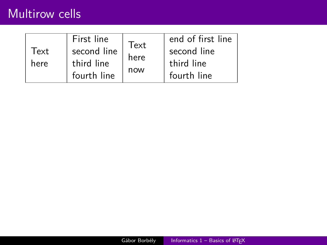#### Multirow cells

| Text<br>here | First line<br>second line<br>third line<br>fourth line | Text<br>here<br>now | end of first line<br>second line<br>third line<br>fourth line |
|--------------|--------------------------------------------------------|---------------------|---------------------------------------------------------------|
|--------------|--------------------------------------------------------|---------------------|---------------------------------------------------------------|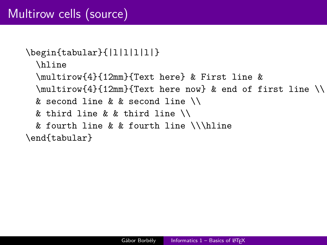```
\begin{tabular}{|l|l|l|l|}
```
\hline

\multirow{4}{12mm}{Text here} & First line &

- \multirow{4}{12mm}{Text here now} & end of first line \\
- & second line & & second line \\
- & third line & & third line \\
- & fourth line & & fourth line \\\hline

\end{tabular}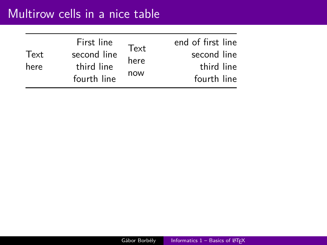| Text<br>here | First line<br>second line<br>third line<br>fourth line | Text<br>here<br>now | end of first line<br>second line<br>third line<br>fourth line |
|--------------|--------------------------------------------------------|---------------------|---------------------------------------------------------------|
|--------------|--------------------------------------------------------|---------------------|---------------------------------------------------------------|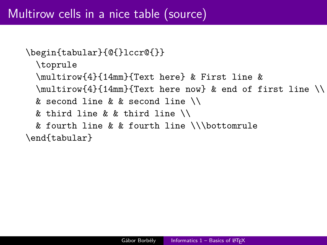```
\begin{tabular}{@{}lccr@{}}
```
\toprule

\multirow{4}{14mm}{Text here} & First line &

- \multirow{4}{14mm}{Text here now} & end of first line \\
- & second line & & second line \\
- & third line & & third line \\
- & fourth line & & fourth line \\\bottomrule

\end{tabular}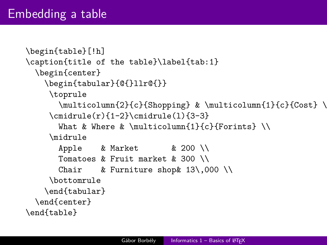```
\begin{table}[!h]
\caption{title of the table}\label{tab:1}
 \begin{center}
   \begin{tabular}{@{}llr@{}}
    \toprule
       \multicolumn{2}{c}{Shopping} & \multicolumn{1}{c}{Cost} \\
     \mathrm{cmin}{1-2}\mathrm{cmin}{3-3}
      What & Where & \multicolumn{1}{c}{Forints} \\
     \midrule
      Apple & Market \& 200 \\
      Tomatoes k Fruit market k 300 \\
      Chair & Furniture shop & 13\,000 \\
     \bottomrule
    \end{tabular}
 \end{center}
\end{table}
```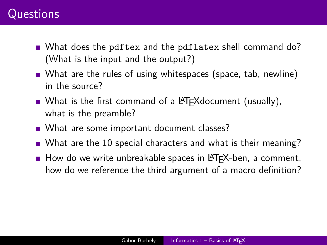### **Questions**

- What does the pdftex and the pdflatex shell command do? (What is the input and the output?)
- What are the rules of using whitespaces (space, tab, newline) in the source?
- What is the first command of a  $\biguplus K$  Next example  $\biguplus \mathcal{C}$ . what is the preamble?
- What are some important document classes?
- What are the 10 special characters and what is their meaning?
- $\blacksquare$  How do we write unbreakable spaces in LAT<sub>E</sub>X-ben, a comment, how do we reference the third argument of a macro definition?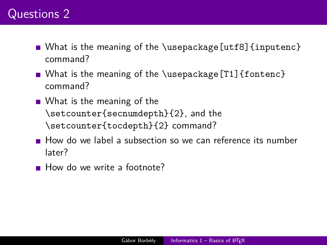### Questions 2

- What is the meaning of the \usepackage[utf8] {inputenc} command?
- What is the meaning of the \usepackage  $[T1]$  {fontenc} command?
- What is the meaning of the \setcounter{secnumdepth}{2}, and the \setcounter{tocdepth}{2} command?
- How do we label a subsection so we can reference its number later?
- How do we write a footnote?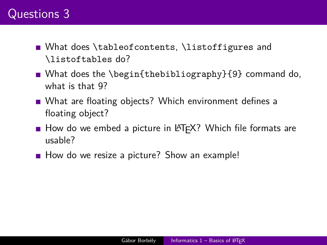### Questions 3

- **Nhat does \tableofcontents, \listoffigures and** \listoftables do?
- What does the \begin{thebibliography}{9} command do, what is that 9?
- What are floating objects? Which environment defines a floating object?
- How do we embed a picture in LAT<sub>F</sub>X? Which file formats are usable?
- How do we resize a picture? Show an example!